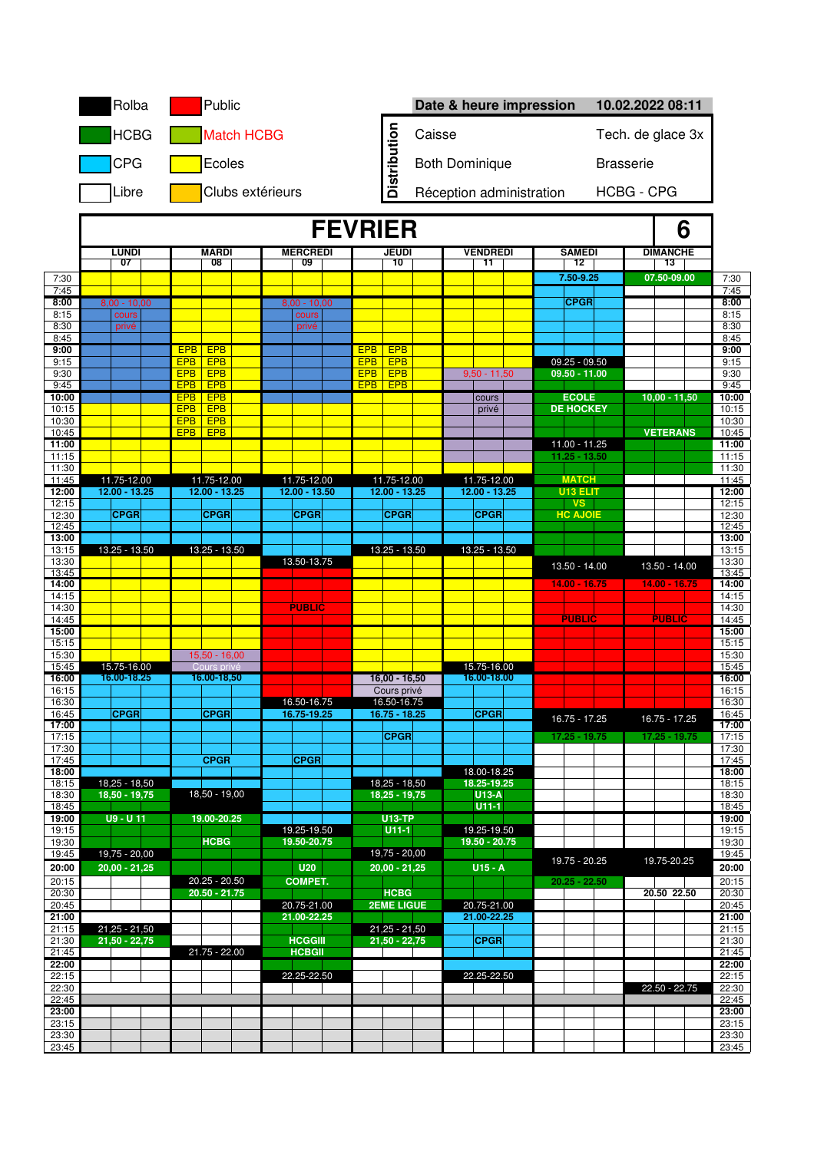|                | Rolba                   | Public                                        |                                 |                                |        | Date & heure impression    |                                  | 10.02.2022 08:11      |                |  |  |  |  |  |
|----------------|-------------------------|-----------------------------------------------|---------------------------------|--------------------------------|--------|----------------------------|----------------------------------|-----------------------|----------------|--|--|--|--|--|
|                | <b>HCBG</b>             | <b>Match HCBG</b>                             |                                 | <b>Distribution</b>            | Caisse |                            |                                  | Tech. de glace 3x     |                |  |  |  |  |  |
|                | <b>CPG</b>              | Ecoles                                        |                                 |                                |        | <b>Both Dominique</b>      |                                  | <b>Brasserie</b>      |                |  |  |  |  |  |
|                | Libre                   | Clubs extérieurs                              |                                 |                                |        | Réception administration   |                                  | <b>HCBG - CPG</b>     |                |  |  |  |  |  |
|                |                         |                                               |                                 |                                |        |                            |                                  |                       |                |  |  |  |  |  |
|                |                         |                                               | <b>FEVRIER</b>                  |                                | 6      |                            |                                  |                       |                |  |  |  |  |  |
|                | <b>LUNDI</b><br>07      | <b>MARDI</b><br>08                            | <b>MERCREDI</b><br>09           | <b>JEUDI</b><br>10             |        | <b>VENDREDI</b><br>11      | <b>SAMEDI</b><br>12              | <b>DIMANCHE</b><br>13 |                |  |  |  |  |  |
| 7:30<br>7:45   |                         |                                               |                                 |                                |        |                            | 7.50-9.25                        | 07.50-09.00           | 7:30<br>7:45   |  |  |  |  |  |
| 8:00<br>8:15   | $8.00 - 10.00$<br>cours |                                               | $8.00 - 10.00$<br>cours         |                                |        |                            | <b>CPGR</b>                      |                       | 8:00<br>8:15   |  |  |  |  |  |
| 8:30           | privé                   |                                               | privé                           |                                |        |                            |                                  |                       | 8:30           |  |  |  |  |  |
| 8:45<br>9:00   |                         | <b>EPB</b><br><b>EPB</b>                      |                                 | <b>EPB</b><br><b>EPB</b>       |        |                            |                                  |                       | 8:45<br>9:00   |  |  |  |  |  |
| 9:15           |                         | <b>EPB</b><br><b>EPB</b><br><b>EPB</b>        | <b>EPB</b><br><b>EPB</b>        | <b>EPB</b><br><b>EPB</b>       |        | $9,50 - 11,50$             | $09.25 - 09.50$<br>09.50 - 11.00 |                       | 9:15           |  |  |  |  |  |
| 9:30<br>9:45   |                         | <b>EPB</b><br><b>EPB</b><br><b>EPB</b>        |                                 | <b>EPB</b><br><b>EPB</b>       |        |                            |                                  |                       | 9:30<br>9:45   |  |  |  |  |  |
| 10:00<br>10:15 |                         | <b>EPB</b><br>EPB<br><b>EPB</b><br><b>EPB</b> |                                 |                                |        | cours<br>privé             | <b>ECOLE</b><br><b>DE HOCKEY</b> | $10,00 - 11,50$       | 10:00<br>10:15 |  |  |  |  |  |
| 10:30          |                         | <b>EPB</b><br><b>EPB</b>                      |                                 |                                |        |                            |                                  |                       | 10:30          |  |  |  |  |  |
| 10:45<br>11:00 |                         | EPB <sup> </sup><br><b>EPB</b>                |                                 |                                |        |                            | 11.00 - 11.25                    | <b>VETERANS</b>       | 10:45<br>11:00 |  |  |  |  |  |
| 11:15          |                         |                                               |                                 |                                |        |                            | $11.25 - 13.50$                  |                       | 11:15          |  |  |  |  |  |
| 11:30<br>11:45 | 11.75-12.00             | 11.75-12.00                                   | 11.75-12.00                     | 11.75-12.00                    |        | 11.75-12.00                | <b>MATCH</b>                     |                       | 11:30<br>11:45 |  |  |  |  |  |
| 12:00<br>12:15 | 12.00 - 13.25           | $12.00 - 13.25$                               | $12.00 - 13.50$                 | 12.00 - 13.25                  |        | $12.00 - 13.25$            | U13 ELIT<br><b>VS</b>            |                       | 12:00<br>12:15 |  |  |  |  |  |
| 12:30          | <b>CPGR</b>             | <b>CPGR</b>                                   | <b>CPGR</b>                     | <b>CPGR</b>                    |        | <b>CPGR</b>                | <b>HC AJOIE</b>                  |                       | 12:30          |  |  |  |  |  |
| 12:45<br>13:00 |                         |                                               |                                 |                                |        |                            |                                  |                       | 12:45<br>13:00 |  |  |  |  |  |
| 13:15          | 13.25 - 13.50           | 13.25 - 13.50                                 |                                 | 13.25 - 13.50                  |        | 13.25 - 13.50              |                                  |                       | 13:15          |  |  |  |  |  |
| 13:30<br>13:45 |                         |                                               | 13.50-13.75                     |                                |        |                            | 13.50 - 14.00                    | 13.50 - 14.00         | 13:30<br>13:45 |  |  |  |  |  |
| 14:00<br>14:15 |                         |                                               |                                 |                                |        |                            | $14.00 - 16.75$                  | $14.00 - 16.75$       | 14:00<br>14:15 |  |  |  |  |  |
| 14:30          |                         |                                               | <b>PUBLIC</b>                   |                                |        |                            |                                  |                       | 14:30          |  |  |  |  |  |
| 14:45<br>15:00 |                         |                                               |                                 |                                |        |                            | <b>PUBLIC</b>                    | <b>PUBLIC</b>         | 14:45<br>15:00 |  |  |  |  |  |
| 15:15          |                         |                                               |                                 |                                |        |                            |                                  |                       | 15:15          |  |  |  |  |  |
| 15:30<br>15:45 | 15.75-16.00             | $15,50 - 16,00$<br>Cours priv                 |                                 |                                |        | 15.75-16.00                |                                  |                       | 15:30<br>15:45 |  |  |  |  |  |
| 16:00<br>16:15 | 16.00-18.25             | 16.00-18,50                                   |                                 | $16,00 - 16,50$<br>Cours privé |        | 16.00-18.00                |                                  |                       | 16:00<br>16:15 |  |  |  |  |  |
| 16:30          |                         |                                               | 16.50-16.75                     | 16.50-16.75                    |        |                            |                                  |                       | 16:30          |  |  |  |  |  |
| 16:45<br>17:00 | <b>CPGR</b>             | <b>CPGR</b>                                   | 16.75-19.25                     | $16.75 - 18.25$                |        | <b>CPGR</b>                | 16.75 - 17.25                    | 16.75 - 17.25         | 16:45<br>17:00 |  |  |  |  |  |
| 17:15          |                         |                                               |                                 | <b>CPGR</b>                    |        |                            | 17.25 - 19.75                    | 17.25 - 19.75         | 17:15          |  |  |  |  |  |
| 17:30<br>17:45 |                         | <b>CPGR</b>                                   | <b>CPGR</b>                     |                                |        |                            |                                  |                       | 17:30<br>17:45 |  |  |  |  |  |
| 18:00<br>18:15 | $18,25 - 18,50$         |                                               |                                 | $18,25 - 18,50$                |        | 18.00-18.25<br>18.25-19.25 |                                  |                       | 18:00<br>18:15 |  |  |  |  |  |
| 18:30          | $18,50 - 19,75$         | $18,50 - 19,00$                               |                                 | $18,25 - 19,75$                |        | <b>U13-A</b>               |                                  |                       | 18:30          |  |  |  |  |  |
| 18:45<br>19:00 | $U9 - U11$              | 19.00-20.25                                   |                                 | <b>U13-TP</b>                  |        | $U11-1$                    |                                  |                       | 18:45<br>19:00 |  |  |  |  |  |
| 19:15          |                         |                                               | 19.25-19.50                     | $U11-1$                        |        | 19.25-19.50                |                                  |                       | 19:15          |  |  |  |  |  |
| 19:30<br>19:45 | 19,75 - 20,00           | <b>HCBG</b>                                   | 19.50-20.75                     | $19,75 - 20,00$                |        | 19.50 - 20.75              |                                  |                       | 19:30<br>19:45 |  |  |  |  |  |
| 20:00          | $20,00 - 21,25$         |                                               | <b>U20</b>                      | $20,00 - 21,25$                |        | $U15 - A$                  | 19.75 - 20.25                    | 19.75-20.25           | 20:00          |  |  |  |  |  |
| 20:15<br>20:30 |                         | $20.25 - 20.50$<br>$20.50 - 21.75$            | <b>COMPET.</b>                  | <b>HCBG</b>                    |        |                            | $20.25 - 22.50$                  | 20.50 22.50           | 20:15<br>20:30 |  |  |  |  |  |
| 20:45          |                         |                                               | 20.75-21.00                     | <b>2EME LIGUE</b>              |        | 20.75-21.00                |                                  |                       | 20:45          |  |  |  |  |  |
| 21:00<br>21:15 | $21,25 - 21,50$         |                                               | 21.00-22.25                     | $21,25 - 21,50$                |        | 21.00-22.25                |                                  |                       | 21:00<br>21:15 |  |  |  |  |  |
| 21:30<br>21:45 | $21,50 - 22,75$         | 21.75 - 22.00                                 | <b>HCGGIII</b><br><b>HCBGII</b> | $21,50 - 22,75$                |        | <b>CPGR</b>                |                                  |                       | 21:30<br>21:45 |  |  |  |  |  |
| 22:00          |                         |                                               |                                 |                                |        |                            |                                  |                       | 22:00          |  |  |  |  |  |
| 22:15<br>22:30 |                         |                                               | 22.25-22.50                     |                                |        | 22.25-22.50                |                                  | $22.50 - 22.75$       | 22:15<br>22:30 |  |  |  |  |  |
| 22:45          |                         |                                               |                                 |                                |        |                            |                                  |                       | 22:45          |  |  |  |  |  |
| 23:00<br>23:15 |                         |                                               |                                 |                                |        |                            |                                  |                       | 23:00<br>23:15 |  |  |  |  |  |
| 23:30          |                         |                                               |                                 |                                |        |                            |                                  |                       | 23:30          |  |  |  |  |  |
| 23:45          |                         |                                               |                                 |                                |        |                            |                                  |                       | 23:45          |  |  |  |  |  |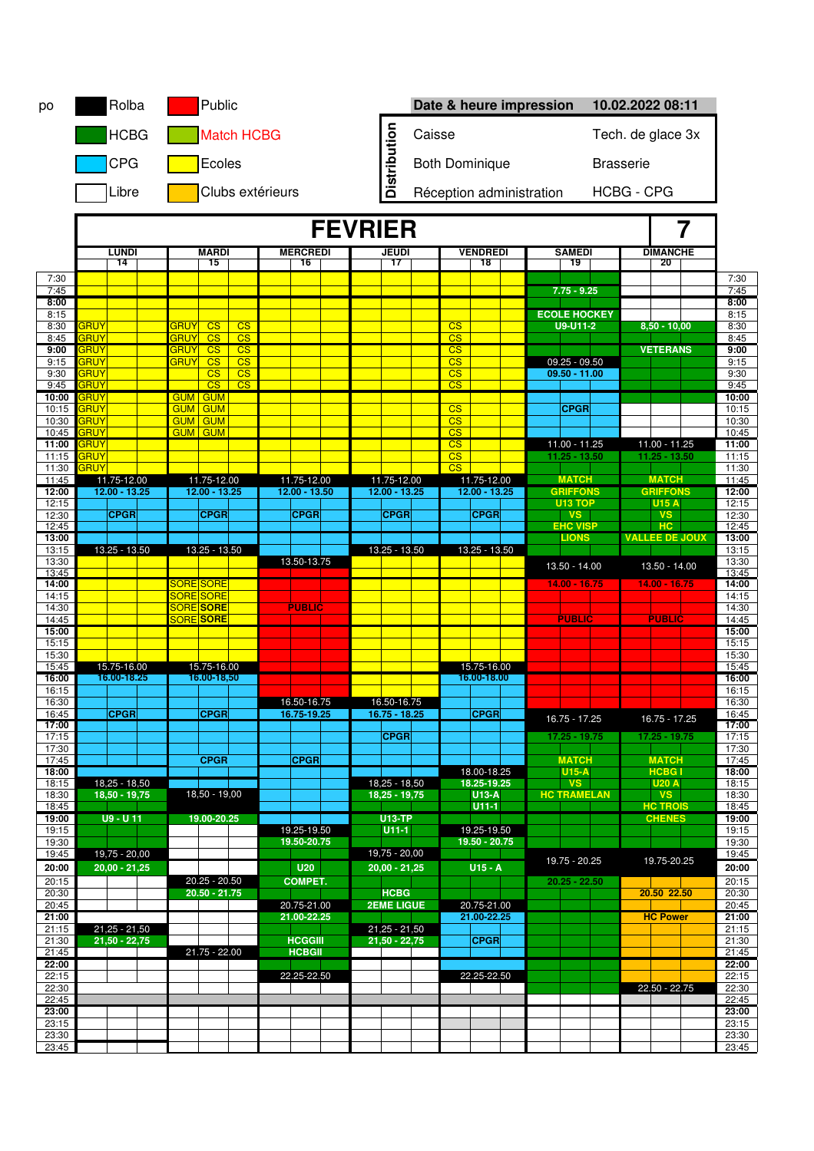| po             |                            | Rolba                              |  |             | Public                         |                                                  |  |                                |  |                |                                               |                                           |                                                  |                                |  | Date & heure impression |                                 |  | 10.02.2022 08:11                   |   |                |
|----------------|----------------------------|------------------------------------|--|-------------|--------------------------------|--------------------------------------------------|--|--------------------------------|--|----------------|-----------------------------------------------|-------------------------------------------|--------------------------------------------------|--------------------------------|--|-------------------------|---------------------------------|--|------------------------------------|---|----------------|
|                |                            | <b>HCBG</b><br><b>Match HCBG</b>   |  |             |                                |                                                  |  |                                |  |                |                                               | Caisse<br>Tech. de glace 3x               |                                                  |                                |  |                         |                                 |  |                                    |   |                |
|                |                            | <b>CPG</b>                         |  |             | Ecoles                         |                                                  |  |                                |  |                | Distribution                                  | <b>Both Dominique</b><br><b>Brasserie</b> |                                                  |                                |  |                         |                                 |  |                                    |   |                |
|                | Libre<br>Clubs extérieurs  |                                    |  |             |                                |                                                  |  |                                |  |                | <b>HCBG - CPG</b><br>Réception administration |                                           |                                                  |                                |  |                         |                                 |  |                                    |   |                |
|                |                            |                                    |  |             |                                |                                                  |  |                                |  | <b>FEVRIER</b> |                                               |                                           |                                                  |                                |  |                         |                                 |  |                                    | 7 |                |
|                |                            | LUNDI                              |  |             | <b>MARDI</b>                   |                                                  |  | <b>MERCREDI</b>                |  |                | <b>JEUDI</b>                                  |                                           |                                                  | <b>VENDREDI</b>                |  |                         | <b>SAMEDI</b>                   |  | <b>DIMANCHE</b>                    |   |                |
|                |                            | 14                                 |  |             | 15                             |                                                  |  | 16                             |  |                | 17                                            |                                           |                                                  | 18                             |  |                         | 19                              |  | 20                                 |   |                |
| 7:30<br>7:45   |                            |                                    |  |             |                                |                                                  |  |                                |  |                |                                               |                                           |                                                  |                                |  |                         | $7.75 - 9.25$                   |  |                                    |   | 7:30<br>7:45   |
| 8:00           |                            |                                    |  |             |                                |                                                  |  |                                |  |                |                                               |                                           |                                                  |                                |  |                         |                                 |  |                                    |   | 8:00           |
| 8:15<br>8:30   | <b>GRUY</b>                |                                    |  | <b>GRUY</b> | CS                             | CS                                               |  |                                |  |                |                                               |                                           | CS                                               |                                |  |                         | <b>ECOLE HOCKEY</b><br>U9-U11-2 |  | $8,50 - 10,00$                     |   | 8:15<br>8:30   |
| 8:45           | <b>GRUY</b>                |                                    |  | GRUY        | $\overline{\text{CS}}$         | $\overline{\text{CS}}$                           |  |                                |  |                |                                               |                                           | $\overline{\text{CS}}$                           |                                |  |                         |                                 |  |                                    |   | 8:45           |
| 9:00           | <b>GRUY</b>                |                                    |  | <b>GRUY</b> | CS                             | $\overline{\text{CS}}$                           |  |                                |  |                |                                               |                                           | $\overline{\text{CS}}$                           |                                |  |                         |                                 |  | <b>VETERANS</b>                    |   | 9:00           |
| 9:15           | <b>GRUY</b>                |                                    |  | <b>GRUY</b> | CS                             | $\overline{\text{CS}}$                           |  |                                |  |                |                                               |                                           | $\overline{\text{CS}}$                           |                                |  |                         | $09.25 - 09.50$                 |  |                                    |   | 9:15           |
| 9:30<br>9:45   | <b>GRUY</b><br><b>GRUY</b> |                                    |  |             | $\overline{\text{CS}}$<br>CS   | $\overline{\text{CS}}$<br>$\overline{\text{CS}}$ |  |                                |  |                |                                               |                                           | $\overline{\text{CS}}$<br>$\overline{\text{CS}}$ |                                |  |                         | $09.50 - 11.00$                 |  |                                    |   | 9:30<br>9:45   |
| 10:00          | <b>GRUY</b>                |                                    |  |             | <b>GUM GUM</b>                 |                                                  |  |                                |  |                |                                               |                                           |                                                  |                                |  |                         |                                 |  |                                    |   | 10:00          |
| 10:15          | <b>GRUY</b>                |                                    |  | <b>GUM</b>  | <b>GUM</b>                     |                                                  |  |                                |  |                |                                               |                                           | CS                                               |                                |  |                         | <b>CPGR</b>                     |  |                                    |   | 10:15          |
| 10:30          | <b>GRUY</b><br><b>GRUY</b> |                                    |  | <b>GUM</b>  | <b>GUM</b>                     |                                                  |  |                                |  |                |                                               |                                           | $\overline{\text{CS}}$                           |                                |  |                         |                                 |  |                                    |   | 10:30          |
| 10:45<br>11:00 | <b>GRUY</b>                |                                    |  |             | <b>GUM GUM</b>                 |                                                  |  |                                |  |                |                                               |                                           | CS<br>$\overline{\text{CS}}$                     |                                |  |                         | 11.00 - 11.25                   |  | 11.00 - 11.25                      |   | 10:45<br>11:00 |
| 11:15          | <b>GRUY</b>                |                                    |  |             |                                |                                                  |  |                                |  |                |                                               |                                           | $\overline{\text{CS}}$                           |                                |  |                         | $11.25 - 13.50$                 |  | $11.25 - 13.50$                    |   | 11:15          |
| 11:30          | GRUY                       |                                    |  |             |                                |                                                  |  |                                |  |                |                                               |                                           | $\overline{\text{CS}}$                           |                                |  |                         |                                 |  |                                    |   | 11:30          |
| 11:45<br>12:00 |                            | 11.75-12.00<br>$12.00 - 13.25$     |  |             | 11.75-12.00<br>$12.00 - 13.25$ |                                                  |  | 11.75-12.00<br>$12.00 - 13.50$ |  |                | 11.75-12.00<br>$12.00 - 13.25$                |                                           |                                                  | 11.75-12.00<br>$12.00 - 13.25$ |  |                         | <b>MATCH</b><br><b>GRIFFONS</b> |  | <b>MATCH</b><br><b>GRIFFONS</b>    |   | 11:45<br>12:00 |
| 12:15          |                            |                                    |  |             |                                |                                                  |  |                                |  |                |                                               |                                           |                                                  |                                |  |                         | <b>U13 TOP</b>                  |  | <b>U15 A</b>                       |   | 12:15          |
| 12:30          |                            | <b>CPGR</b>                        |  |             | <b>CPGR</b>                    |                                                  |  | <b>CPGR</b>                    |  |                | <b>CPGR</b>                                   |                                           |                                                  | <b>CPGR</b>                    |  |                         | <b>VS</b>                       |  | <b>VS</b>                          |   | 12:30          |
| 12:45          |                            |                                    |  |             |                                |                                                  |  |                                |  |                |                                               |                                           |                                                  |                                |  |                         | <b>EHC VISP</b><br><b>LIONS</b> |  | <b>HC</b><br><b>VALLEE DE JOUX</b> |   | 12:45          |
| 13:00<br>13:15 |                            | 13.25 - 13.50                      |  |             | 13.25 - 13.50                  |                                                  |  |                                |  |                | 13.25 - 13.50                                 |                                           |                                                  | 13.25 - 13.50                  |  |                         |                                 |  |                                    |   | 13:00<br>13:15 |
| 13:30          |                            |                                    |  |             |                                |                                                  |  | 13.50-13.75                    |  |                |                                               |                                           |                                                  |                                |  |                         | 13.50 - 14.00                   |  | 13.50 - 14.00                      |   | 13:30          |
| 13:45          |                            |                                    |  |             |                                |                                                  |  |                                |  |                |                                               |                                           |                                                  |                                |  |                         |                                 |  |                                    |   | 13:45          |
| 14:00<br>14:15 |                            |                                    |  |             | <b>SORE SORE</b><br>SORE SORE  |                                                  |  |                                |  |                |                                               |                                           |                                                  |                                |  |                         | $14.00 - 16.75$                 |  | $14.00 - 16.75$                    |   | 14:00<br>14:15 |
| 14:30          |                            |                                    |  |             | SORE SORE                      |                                                  |  | <b>PUBLIC</b>                  |  |                |                                               |                                           |                                                  |                                |  |                         |                                 |  |                                    |   | 14:30          |
| 14:45          |                            |                                    |  |             | <b>SORE</b> SORE               |                                                  |  |                                |  |                |                                               |                                           |                                                  |                                |  |                         | <b>PUBLIC</b>                   |  | <b>PUBLIC</b>                      |   | 14:45          |
| 15:00<br>15:15 |                            |                                    |  |             |                                |                                                  |  |                                |  |                |                                               |                                           |                                                  |                                |  |                         |                                 |  |                                    |   | 15:00          |
| 15:30          |                            |                                    |  |             |                                |                                                  |  |                                |  |                |                                               |                                           |                                                  |                                |  |                         |                                 |  |                                    |   | 15:15<br>15:30 |
| 15:45          |                            | 15.75-16.00                        |  |             | 15.75-16.00                    |                                                  |  |                                |  |                |                                               |                                           |                                                  | 15.75-16.00                    |  |                         |                                 |  |                                    |   | 15:45          |
| 16:00          |                            | 16.00-18.25                        |  |             | 16.00-18,50                    |                                                  |  |                                |  |                |                                               |                                           |                                                  | 16.00-18.00                    |  |                         |                                 |  |                                    |   | 16:00          |
| 16:15<br>16:30 |                            |                                    |  |             |                                |                                                  |  | 16.50-16.75                    |  |                | 16.50-16.75                                   |                                           |                                                  |                                |  |                         |                                 |  |                                    |   | 16:15<br>16:30 |
| 16:45          |                            | <b>CPGR</b>                        |  |             | <b>CPGR</b>                    |                                                  |  | 16.75-19.25                    |  |                | $16.75 - 18.25$                               |                                           |                                                  | <b>CPGR</b>                    |  |                         |                                 |  |                                    |   | 16:45          |
| 17:00          |                            |                                    |  |             |                                |                                                  |  |                                |  |                |                                               |                                           |                                                  |                                |  |                         | 16.75 - 17.25                   |  | 16.75 - 17.25                      |   | 17:00          |
| 17:15          |                            |                                    |  |             |                                |                                                  |  |                                |  |                | <b>CPGR</b>                                   |                                           |                                                  |                                |  |                         | $17.25 - 19.75$                 |  | 17.25 - 19.75                      |   | 17:15          |
| 17:30<br>17:45 |                            |                                    |  |             | <b>CPGR</b>                    |                                                  |  | <b>CPGR</b>                    |  |                |                                               |                                           |                                                  |                                |  |                         | <b>MATCH</b>                    |  | <b>MATCH</b>                       |   | 17:30<br>17:45 |
| 18:00          |                            |                                    |  |             |                                |                                                  |  |                                |  |                |                                               |                                           |                                                  | 18.00-18.25                    |  |                         | $U15-A$                         |  | <b>HCBG1</b>                       |   | 18:00          |
| 18:15          |                            | $18,25 - 18,50$                    |  |             |                                |                                                  |  |                                |  |                | $18,25 - 18,50$                               |                                           |                                                  | 18.25-19.25                    |  |                         | <b>VS</b>                       |  | <b>U20 A</b>                       |   | 18:15          |
| 18:30<br>18:45 |                            | 18,50 - 19,75                      |  |             | 18,50 - 19,00                  |                                                  |  |                                |  |                | 18.25 - 19.75                                 |                                           |                                                  | $U13-A$<br>$U11-1$             |  |                         | <b>HC TRAMELAN</b>              |  | <b>VS</b><br><b>HC TROIS</b>       |   | 18:30<br>18:45 |
| 19:00          |                            | $U9 - U11$                         |  |             | 19.00-20.25                    |                                                  |  |                                |  |                | <b>U13-TP</b>                                 |                                           |                                                  |                                |  |                         |                                 |  | <b>CHENES</b>                      |   | 19:00          |
| 19:15          |                            |                                    |  |             |                                |                                                  |  | 19.25-19.50                    |  |                | $U11-1$                                       |                                           |                                                  | 19.25-19.50                    |  |                         |                                 |  |                                    |   | 19:15          |
| 19:30<br>19:45 |                            |                                    |  |             |                                |                                                  |  | 19.50-20.75                    |  |                | $19,75 - 20,00$                               |                                           |                                                  | 19.50 - 20.75                  |  |                         |                                 |  |                                    |   | 19:30<br>19:45 |
| 20:00          |                            | 19,75 - 20,00<br>$20,00 - 21,25$   |  |             |                                |                                                  |  | U20                            |  |                | $20,00 - 21,25$                               |                                           |                                                  | $U15 - A$                      |  |                         | 19.75 - 20.25                   |  | 19.75-20.25                        |   | 20:00          |
| 20:15          |                            |                                    |  |             | $20.25 - 20.50$                |                                                  |  | <b>COMPET.</b>                 |  |                |                                               |                                           |                                                  |                                |  |                         | $20.25 - 22.50$                 |  |                                    |   | 20:15          |
| 20:30          |                            |                                    |  |             | $20.50 - 21.75$                |                                                  |  |                                |  |                | <b>HCBG</b>                                   |                                           |                                                  |                                |  |                         |                                 |  | 20.50 22.50                        |   | 20:30          |
| 20:45          |                            |                                    |  |             |                                |                                                  |  | 20.75-21.00                    |  |                | <b>2EME LIGUE</b>                             |                                           |                                                  | 20.75-21.00                    |  |                         |                                 |  |                                    |   | 20:45          |
| 21:00          |                            |                                    |  |             |                                |                                                  |  | 21.00-22.25                    |  |                |                                               |                                           |                                                  | 21.00-22.25                    |  |                         |                                 |  | <b>HC Power</b>                    |   | 21:00          |
| 21:15<br>21:30 |                            | $21,25 - 21,50$<br>$21,50 - 22,75$ |  |             |                                |                                                  |  | <b>HCGGIII</b>                 |  |                | $21,25 - 21,50$<br>$21,50 - 22,75$            |                                           |                                                  | <b>CPGR</b>                    |  |                         |                                 |  |                                    |   | 21:15<br>21:30 |
| 21:45          |                            |                                    |  |             | $21.75 - 22.00$                |                                                  |  | <b>HCBGII</b>                  |  |                |                                               |                                           |                                                  |                                |  |                         |                                 |  |                                    |   | 21:45          |
| 22:00          |                            |                                    |  |             |                                |                                                  |  |                                |  |                |                                               |                                           |                                                  |                                |  |                         |                                 |  |                                    |   | 22:00          |
| 22:15<br>22:30 |                            |                                    |  |             |                                |                                                  |  | 22.25-22.50                    |  |                |                                               |                                           |                                                  | 22.25-22.50                    |  |                         |                                 |  |                                    |   | 22:15          |
| 22:45          |                            |                                    |  |             |                                |                                                  |  |                                |  |                |                                               |                                           |                                                  |                                |  |                         |                                 |  | 22.50 - 22.75                      |   | 22:30<br>22:45 |
| 23:00          |                            |                                    |  |             |                                |                                                  |  |                                |  |                |                                               |                                           |                                                  |                                |  |                         |                                 |  |                                    |   | 23:00          |
| 23:15          |                            |                                    |  |             |                                |                                                  |  |                                |  |                |                                               |                                           |                                                  |                                |  |                         |                                 |  |                                    |   | 23:15          |
| 23:30<br>23:45 |                            |                                    |  |             |                                |                                                  |  |                                |  |                |                                               |                                           |                                                  |                                |  |                         |                                 |  |                                    |   | 23:30<br>23:45 |
|                |                            |                                    |  |             |                                |                                                  |  |                                |  |                |                                               |                                           |                                                  |                                |  |                         |                                 |  |                                    |   |                |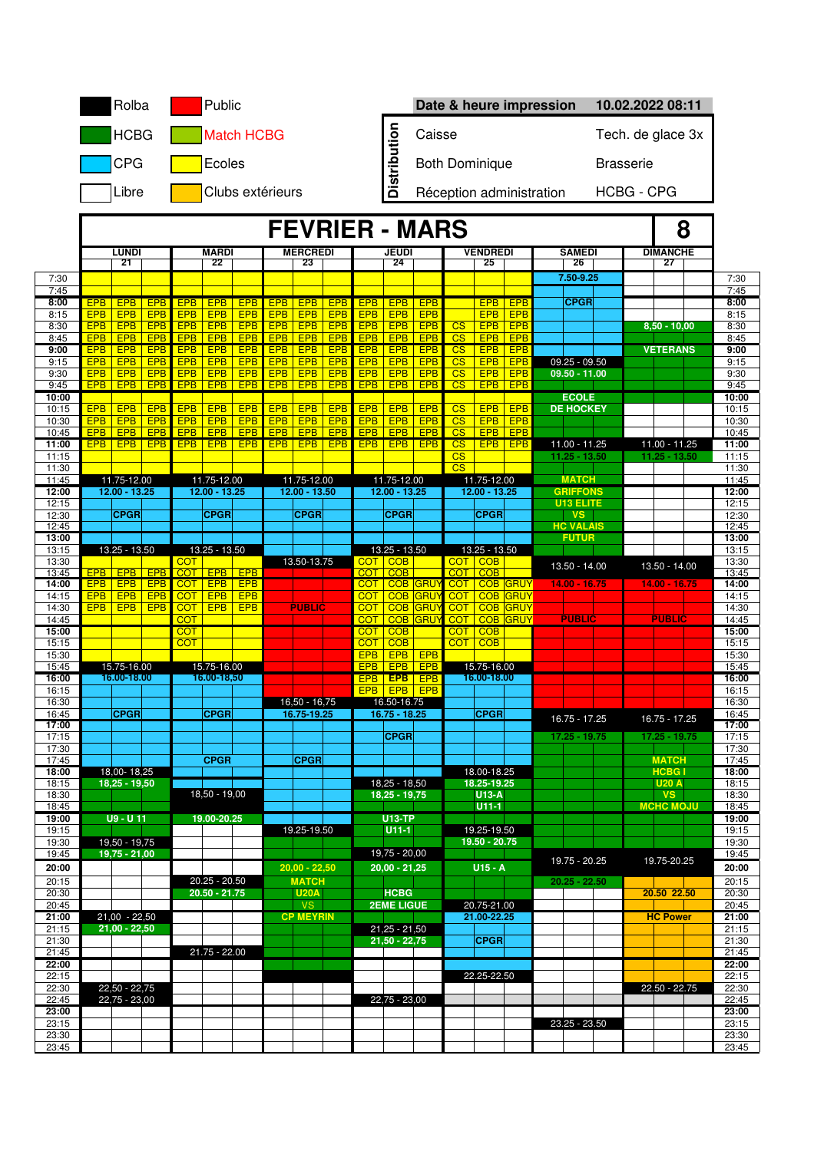|                |                          | Rolba                              |                          |                          | Public                         |                          |                          |                                |                          |                          |                                |                                    |                              |                                |                                    | Date & heure impression         |                   | 10.02.2022 08:11              |                |  |
|----------------|--------------------------|------------------------------------|--------------------------|--------------------------|--------------------------------|--------------------------|--------------------------|--------------------------------|--------------------------|--------------------------|--------------------------------|------------------------------------|------------------------------|--------------------------------|------------------------------------|---------------------------------|-------------------|-------------------------------|----------------|--|
|                |                          | <b>HCBG</b>                        |                          |                          |                                | <b>Match HCBG</b>        |                          |                                |                          |                          |                                | Caisse                             |                              |                                |                                    |                                 | Tech. de glace 3x |                               |                |  |
|                |                          | <b>CPG</b>                         |                          |                          | Ecoles                         |                          |                          |                                |                          |                          | Distribution                   | <b>Both Dominique</b>              |                              |                                |                                    |                                 |                   | <b>Brasserie</b>              |                |  |
|                |                          | Libre                              |                          |                          |                                |                          | Clubs extérieurs         |                                |                          |                          |                                |                                    |                              | Réception administration       |                                    |                                 |                   | <b>HCBG - CPG</b>             |                |  |
|                |                          |                                    |                          |                          |                                |                          |                          |                                |                          |                          | <b>FEVRIER - MARS</b><br>8     |                                    |                              |                                |                                    |                                 |                   |                               |                |  |
|                |                          | <b>LUNDI</b>                       |                          |                          | <b>MARDI</b>                   |                          |                          | <b>MERCREDI</b>                |                          |                          | <b>JEUDI</b>                   |                                    |                              | <b>VENDREDI</b>                |                                    | <b>SAMEDI</b>                   |                   | <b>DIMANCHE</b>               |                |  |
| 7:30           |                          | 21                                 |                          |                          | 22                             |                          |                          | 23                             |                          |                          | 24                             |                                    |                              | 25                             |                                    | 26<br>$7.50 - 9.25$             |                   | 27                            | 7:30           |  |
| 7:45           |                          |                                    |                          |                          |                                |                          |                          |                                |                          |                          |                                |                                    |                              |                                |                                    | <b>CPGR</b>                     |                   |                               | 7:45           |  |
| 8:00<br>8:15   | <b>EPB</b><br><b>EPB</b> | <b>EPB</b><br><b>EPB</b>           | <b>EPB</b><br><b>EPB</b> | <b>EPB</b><br><b>EPB</b> | <b>EPB</b><br><b>EPB</b>       | <b>EPB</b><br>EPB        | <b>EPB</b><br><b>EPB</b> | <b>EPB</b><br><b>EPB</b>       | <b>EPB</b><br><b>EPB</b> | <b>EPB</b><br><b>EPB</b> | EPB<br><b>EPB</b>              | <b>EPB</b><br><b>EPB</b>           |                              | <b>EPB</b><br><b>EPB</b>       | <b>EPB</b><br>EPB                  |                                 |                   |                               | 8:00<br>8:15   |  |
| 8:30           |                          | EPB   EPB                          | <b>EPB</b>               | <b>EPB</b>               | EPB                            | <b>EPB</b>               | EPB                      | <b>EPB</b>                     | <b>EPB</b>               | <b>EPB</b>               | <b>EPB</b>                     | <b>EPB</b>                         | $\overline{\text{CS}}$       | <b>EPB</b>                     | <b>EPB</b>                         |                                 |                   | $8,50 - 10,00$                | 8:30           |  |
| 8:45<br>9:00   | <b>EPB</b>               | <b>EPB</b><br>EPB   EPB            | <b>EPB</b><br><b>EPB</b> | <b>EPB</b><br><b>EPB</b> | <b>EPB</b><br><b>EPB</b>       | <b>EPB</b><br><b>EPB</b> | EPB<br><b>EPB</b>        | <b>EPB</b>                     | <b>EPB</b><br><b>EPB</b> | <b>EPB</b><br><b>EPB</b> | <b>EPB</b><br><b>EPB</b>       | <b>EPB</b><br><b>EPB</b>           | CS<br>CS                     | <b>EPB</b><br><b>EPB</b>       | <b>EPB</b><br><b>EPB</b>           |                                 |                   | <b>VETERANS</b>               | 8:45<br>9:00   |  |
| 9:15           | <b>EPB</b>               | <b>EPB</b>                         | <b>EPB</b>               | <b>EPB</b>               | <b>EPB</b>                     | <b>EPB</b>               | <b>EPB</b>               | <b>EPB</b><br><b>EPB</b>       | <b>EPB</b>               | <b>EPB</b>               | <b>EPB</b>                     | EPB                                | $\overline{\text{CS}}$       | <b>EPB</b>                     | <b>EPB</b>                         | $09.25 - 09.50$                 |                   |                               | 9:15           |  |
| 9:30           | <b>EPB</b>               | <b>EPB</b>                         | <b>EPB</b>               | <b>EPB</b>               | <b>EPB</b>                     | <b>EPB</b>               | <b>EPB</b>               | EPB                            | <b>EPB</b>               | <b>EPB</b>               | <b>EPB</b>                     | EPB                                | $\overline{\text{CS}}$       | <b>EPB</b>                     | <b>EPB</b>                         | $09.50 - 11.00$                 |                   |                               | 9:30           |  |
| 9:45<br>10:00  | <b>EPB</b>               | EPB                                | <b>EPB</b>               | <b>EPB</b>               | <b>EPB</b>                     | <b>EPB</b>               | EPB <sup>1</sup>         | <b>EPB</b>                     | <b>EPB</b>               | <b>EPB</b>               | <b>EPB</b>                     | <b>EPB</b>                         | $\overline{\text{CS}}$       | <b>EPB</b>                     | <b>EPB</b>                         | <b>ECOLE</b>                    |                   |                               | 9:45<br>10:00  |  |
| 10:15          | <b>EPB</b>               | <b>EPB</b>                         | <b>EPB</b>               | <b>EPB</b>               | <b>EPB</b>                     | EPB                      | <b>EPB</b>               | <b>EPB</b>                     | <b>EPB</b>               | <b>EPB</b>               | <b>EPB</b>                     | <b>EPB</b>                         | $\overline{\text{CS}}$       | <b>EPB</b>                     | <b>EPB</b>                         | <b>DE HOCKEY</b>                |                   |                               | 10:15          |  |
| 10:30          | <b>EPB</b>               | <b>EPB</b>                         | <b>EPB</b>               | <b>EPB</b>               | <b>EPB</b>                     | <b>EPB</b>               | <b>EPB</b>               | <b>EPB</b>                     | <b>EPB</b>               | <b>EPB</b>               | <b>EPB</b>                     | <b>EPB</b>                         | $\overline{\text{CS}}$       | <b>EPB</b>                     | <b>EPB</b>                         |                                 |                   |                               | 10:30          |  |
| 10:45<br>11:00 | <b>EPB</b><br><b>EPB</b> | <b>EPB</b><br><b>EPB</b>           | <b>EPB</b><br><b>EPB</b> | <b>EPB</b><br><b>EPB</b> | <b>EPB</b><br><b>EPB</b>       | <b>EPB</b><br><b>EPB</b> | <b>EPB</b><br><b>EPB</b> | <b>EPB</b><br><b>EPB</b>       | <b>EPB</b><br><b>EPB</b> | <b>EPB</b><br><b>EPB</b> | <b>EPB</b><br><b>EPB</b>       | <b>EPB</b><br><b>EPB</b>           | CS<br>$\overline{\text{CS}}$ | <b>EPB</b><br><b>EPB</b>       | <b>EPB</b><br><b>EPB</b>           | $11.00 - 11.25$                 |                   | 11.00 - 11.25                 | 10:45<br>11:00 |  |
| 11:15          |                          |                                    |                          |                          |                                |                          |                          |                                |                          |                          |                                |                                    | $\overline{\text{CS}}$       |                                |                                    | 11.25 - 13.50                   |                   | 11.25 - 13.50                 | 11:15          |  |
| 11:30          |                          |                                    |                          |                          |                                |                          |                          |                                |                          |                          |                                |                                    | $\overline{\text{CS}}$       |                                |                                    |                                 |                   |                               | 11:30          |  |
| 11:45<br>12:00 |                          | 11.75-12.00<br>$12.00 - 13.25$     |                          |                          | 11.75-12.00<br>$12.00 - 13.25$ |                          |                          | 11.75-12.00<br>$12.00 - 13.50$ |                          |                          | 11.75-12.00<br>12.00 - 13.25   |                                    |                              | 11.75-12.00<br>$12.00 - 13.25$ |                                    | <b>MATCH</b><br><b>GRIFFONS</b> |                   |                               | 11:45<br>12:00 |  |
| 12:15          |                          |                                    |                          |                          |                                |                          |                          |                                |                          |                          |                                |                                    |                              |                                |                                    | <b>U13 ELITE</b>                |                   |                               | 12:15          |  |
| 12:30<br>12:45 |                          | <b>CPGR</b>                        |                          |                          | <b>CPGR</b>                    |                          |                          | <b>CPGR</b>                    |                          |                          | <b>CPGR</b>                    |                                    |                              | CPGR                           |                                    | <b>VS</b><br><b>HC VALAIS</b>   |                   |                               | 12:30<br>12:45 |  |
| 13:00          |                          |                                    |                          |                          |                                |                          |                          |                                |                          |                          |                                |                                    |                              |                                |                                    | <b>FUTUR</b>                    |                   |                               | 13:00          |  |
| 13:15          |                          | 13.25 - 13.50                      |                          |                          | 13.25 - 13.50                  |                          |                          |                                |                          |                          | 13.25 - 13.50                  |                                    |                              | 13.25 - 13.50                  |                                    |                                 |                   |                               | 13:15          |  |
| 13:30<br>13:45 |                          | EPB   EPB                          | <b>EPB</b>               | <b>COT</b><br><b>COT</b> | <b>EPB</b>                     | <b>EPB</b>               |                          | 13.50-13.75                    |                          | <b>COT</b><br>COT        | <b>COB</b><br>COB              |                                    |                              | COT COB<br>COT COB             |                                    | 13.50 - 14.00                   |                   | 13.50 - 14.00                 | 13:30<br>13:45 |  |
| 14:00          | <b>EPB</b>               | <b>EPB</b>                         | <b>EPB</b>               | <b>COT</b>               | <b>EPB</b>                     | <b>EPB</b>               |                          |                                |                          | <b>COT</b>               | <b>COB GRUY</b>                |                                    | <b>COT</b>                   |                                | <b>COB GRUY</b>                    | $14.00 - 16.75$                 |                   | $14.00 - 16.75$               | 14:00          |  |
| 14:15          | <b>EPB</b>               | <b>EPB</b>                         | <b>EPB</b>               | <b>COT</b>               | <b>EPB</b>                     | <b>EPB</b>               |                          |                                |                          | <b>COT</b>               | <b>COB</b>                     | <b>GRU</b>                         | <b>COT</b>                   | <b>COB</b>                     | <b>GRUY</b>                        |                                 |                   |                               | 14:15          |  |
| 14:30<br>14:45 | <b>EPB</b>               | <b>EPB</b>                         | <b>EPB</b>               | <b>COT</b><br><b>COT</b> | <b>EPB</b>                     | <b>EPB</b>               |                          | <b>PUBLIC</b>                  |                          | <b>COT</b><br><b>COT</b> |                                | <b>COB</b> GRUY<br><b>COB GRUY</b> | <b>COT</b><br><b>COT</b>     |                                | <b>COB GRUY</b><br><b>COB GRUY</b> | <b>PUBLIC</b>                   |                   | <b>PUBLIC</b>                 | 14:30<br>14:45 |  |
| 15:00          |                          |                                    |                          | <b>COT</b>               |                                |                          |                          |                                |                          | <b>COT</b>               | <b>COB</b>                     |                                    | <b>COT</b>                   | COB                            |                                    |                                 |                   |                               | 15:00          |  |
| 15:15<br>15:30 |                          |                                    |                          | <b>COT</b>               |                                |                          |                          |                                |                          | <b>COT</b><br><b>EPB</b> | <b>COB</b><br><b>EPB</b>       | <b>EPB</b>                         | COT                          | COB                            |                                    |                                 |                   |                               | 15:15<br>15:30 |  |
| 15:45          |                          | 15.75-16.00                        |                          |                          | 15.75-16.00                    |                          |                          |                                |                          | <b>EPB</b>               | <b>EPB</b>                     | <b>EPB</b>                         |                              | 15.75-16.00                    |                                    |                                 |                   |                               | 15:45          |  |
| 16:00          |                          | 16.00-18.00                        |                          |                          | 16.00-18,50                    |                          |                          |                                |                          | <b>EPB</b>               | <b>EPB</b>                     | <b>EPB</b>                         |                              | 16.00-18.00                    |                                    |                                 |                   |                               | 16:00          |  |
| 16:15          |                          |                                    |                          |                          |                                |                          |                          |                                |                          | <b>EPB</b>               | <b>EPB</b>                     | <b>EPB</b>                         |                              |                                |                                    |                                 |                   |                               | 16:15          |  |
| 16:30<br>16:45 |                          | <b>CPGR</b>                        |                          |                          | <b>CPGR</b>                    |                          |                          | $16,50 - 16,75$<br>16.75-19.25 |                          |                          | 16.50-16.75<br>$16.75 - 18.25$ |                                    |                              | <b>CPGR</b>                    |                                    |                                 |                   |                               | 16:30<br>16:45 |  |
| 17:00          |                          |                                    |                          |                          |                                |                          |                          |                                |                          |                          |                                |                                    |                              |                                |                                    | 16.75 - 17.25                   |                   | 16.75 - 17.25                 | 17:00          |  |
| 17:15          |                          |                                    |                          |                          |                                |                          |                          |                                |                          |                          | <b>CPGR</b>                    |                                    |                              |                                |                                    | 17.25 - 19.75                   |                   | $17.25 - 19.75$               | 17:15          |  |
| 17:30<br>17:45 |                          |                                    |                          |                          | <b>CPGR</b>                    |                          |                          | <b>CPGR</b>                    |                          |                          |                                |                                    |                              |                                |                                    |                                 |                   | <b>MATCH</b>                  | 17:30<br>17:45 |  |
| 18:00          |                          | 18,00-18,25                        |                          |                          |                                |                          |                          |                                |                          |                          |                                |                                    |                              | 18.00-18.25                    |                                    |                                 |                   | <b>HCBG1</b>                  | 18:00          |  |
| 18:15          |                          | 18.25 - 19.50                      |                          |                          |                                |                          |                          |                                |                          |                          | 18,25 - 18,50                  |                                    |                              | 18.25-19.25<br><b>U13-A</b>    |                                    |                                 |                   | <b>U20 A</b>                  | 18:15          |  |
| 18:30<br>18:45 |                          |                                    |                          |                          | $18,50 - 19,00$                |                          |                          |                                |                          |                          | $18,25 - 19,75$                |                                    |                              | $U11-1$                        |                                    |                                 |                   | <b>VS</b><br><b>MCHC MOJU</b> | 18:30<br>18:45 |  |
| 19:00          |                          | $U9 - U11$                         |                          |                          | 19.00-20.25                    |                          |                          |                                |                          |                          | <b>U13-TP</b>                  |                                    |                              |                                |                                    |                                 |                   |                               | 19:00          |  |
| 19:15          |                          |                                    |                          |                          |                                |                          |                          | 19.25-19.50                    |                          |                          | $U11-1$                        |                                    |                              | 19.25-19.50                    |                                    |                                 |                   |                               | 19:15          |  |
| 19:30<br>19:45 |                          | $19,50 - 19,75$<br>$19,75 - 21,00$ |                          |                          |                                |                          |                          |                                |                          |                          | $19,75 - 20,00$                |                                    |                              | 19.50 - 20.75                  |                                    |                                 |                   |                               | 19:30<br>19:45 |  |
| 20:00          |                          |                                    |                          |                          |                                |                          |                          | $20,00 - 22,50$                |                          |                          | $20.00 - 21.25$                |                                    |                              | $U15 - A$                      |                                    | 19.75 - 20.25                   |                   | 19.75-20.25                   | 20:00          |  |
| 20:15          |                          |                                    |                          |                          | $20.25 - 20.50$                |                          |                          | <b>MATCH</b>                   |                          |                          |                                |                                    |                              |                                |                                    | $20.25 - 22.50$                 |                   |                               | 20:15          |  |
| 20:30          |                          |                                    |                          |                          | $20.50 - 21.75$                |                          |                          | <b>U20A</b>                    |                          |                          | <b>HCBG</b>                    |                                    |                              |                                |                                    |                                 |                   | 20.50 22.50                   | 20:30          |  |
| 20:45<br>21:00 |                          | $21,00 - 22,50$                    |                          |                          |                                |                          |                          | VS.<br><b>CP MEYRIN</b>        |                          |                          | <b>2EME LIGUE</b>              |                                    |                              | 20.75-21.00<br>21.00-22.25     |                                    |                                 |                   | <b>HC Power</b>               | 20:45<br>21:00 |  |
| 21:15          |                          | $21,00 - 22,50$                    |                          |                          |                                |                          |                          |                                |                          |                          | $21,25 - 21,50$                |                                    |                              |                                |                                    |                                 |                   |                               | 21:15          |  |
| 21:30          |                          |                                    |                          |                          |                                |                          |                          |                                |                          |                          | $21,50 - 22,75$                |                                    |                              | <b>CPGR</b>                    |                                    |                                 |                   |                               | 21:30          |  |
| 21:45<br>22:00 |                          |                                    |                          |                          | $21.75 - 22.00$                |                          |                          |                                |                          |                          |                                |                                    |                              |                                |                                    |                                 |                   |                               | 21:45<br>22:00 |  |
| 22:15          |                          |                                    |                          |                          |                                |                          |                          |                                |                          |                          |                                |                                    |                              | 22.25-22.50                    |                                    |                                 |                   |                               | 22:15          |  |
| 22:30          |                          | $22,50 - 22,75$                    |                          |                          |                                |                          |                          |                                |                          |                          |                                |                                    |                              |                                |                                    |                                 |                   | $22.50 - 22.75$               | 22:30          |  |
| 22:45<br>23:00 |                          | $22,75 - 23,00$                    |                          |                          |                                |                          |                          |                                |                          |                          | $22,75 - 23,00$                |                                    |                              |                                |                                    |                                 |                   |                               | 22:45<br>23:00 |  |
| 23:15          |                          |                                    |                          |                          |                                |                          |                          |                                |                          |                          |                                |                                    |                              |                                |                                    | $23.25 - 23.50$                 |                   |                               | 23:15          |  |
| 23:30          |                          |                                    |                          |                          |                                |                          |                          |                                |                          |                          |                                |                                    |                              |                                |                                    |                                 |                   |                               | 23:30          |  |
| 23:45          |                          |                                    |                          |                          |                                |                          |                          |                                |                          |                          |                                |                                    |                              |                                |                                    |                                 |                   |                               | 23:45          |  |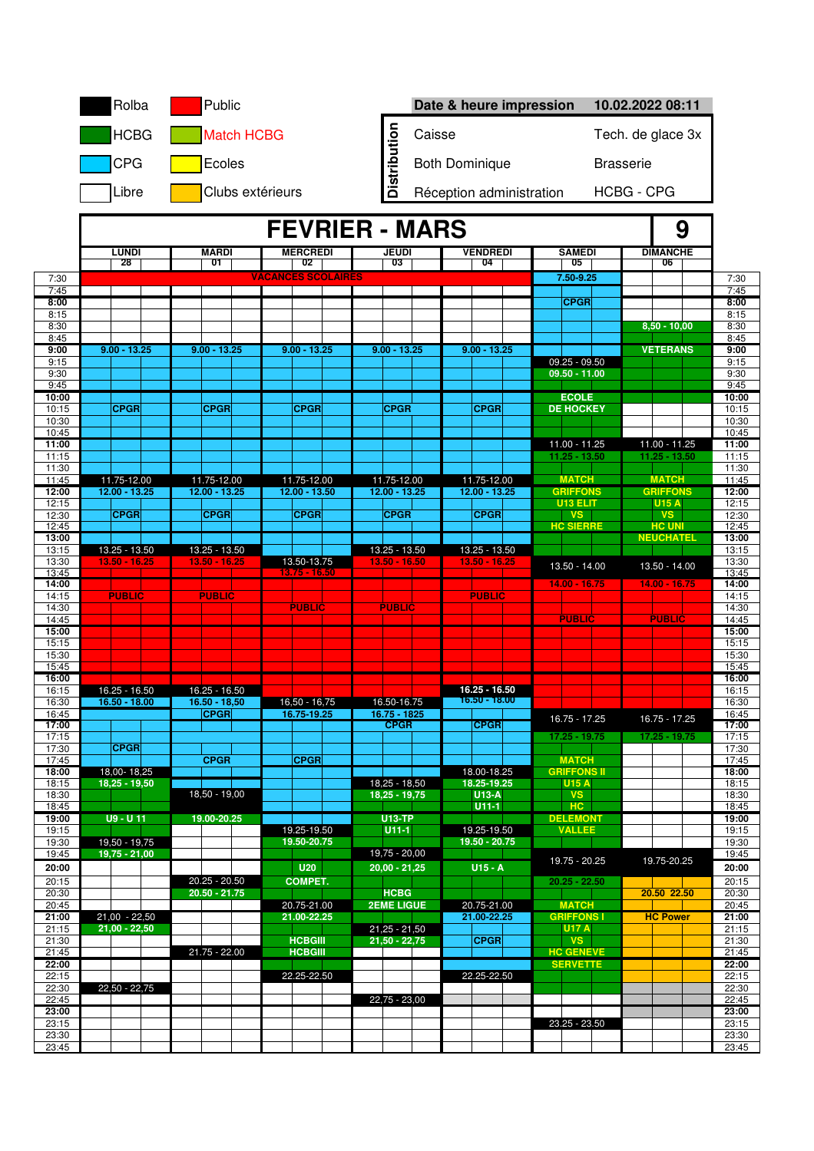|                | Rolba                              | Public                             |                                  |                                    | Date & heure impression        |                                    | 10.02.2022 08:11                |                |
|----------------|------------------------------------|------------------------------------|----------------------------------|------------------------------------|--------------------------------|------------------------------------|---------------------------------|----------------|
|                | <b>HCBG</b>                        | <b>Match HCBG</b>                  |                                  |                                    | Caisse                         |                                    | Tech. de glace 3x               |                |
|                | <b>CPG</b>                         | Ecoles                             |                                  | <b>Distribution</b>                | <b>Both Dominique</b>          |                                    | <b>Brasserie</b>                |                |
|                | Libre                              | Clubs extérieurs                   |                                  |                                    | Réception administration       |                                    | <b>HCBG - CPG</b>               |                |
|                |                                    |                                    | <b>FEVRIER - MARS</b>            |                                    |                                |                                    |                                 |                |
|                | LUNDI                              | <b>MARDI</b>                       | <b>MERCREDI</b>                  | <b>JEUDI</b>                       | <b>VENDREDI</b>                | <b>SAMEDI</b>                      | 9<br><b>DIMANCHE</b>            |                |
|                | 28                                 | 01                                 | 02<br><b>VACANCES SCOLAIRES</b>  | 03                                 | 04                             | 05<br>7.50-9.25                    | 06                              |                |
| 7:30<br>7:45   |                                    |                                    |                                  |                                    |                                |                                    |                                 | 7:30<br>7:45   |
| 8:00<br>8:15   |                                    |                                    |                                  |                                    |                                | <b>CPGR</b>                        |                                 | 8:00<br>8:15   |
| 8:30<br>8:45   |                                    |                                    |                                  |                                    |                                |                                    | $8,50 - 10,00$                  | 8:30<br>8:45   |
| 9:00           | $9.00 - 13.25$                     | $9.00 - 13.25$                     | $9.00 - 13.25$                   | $9.00 - 13.25$                     | $9.00 - 13.25$                 |                                    | <b>VETERANS</b>                 | 9:00           |
| 9:15<br>9:30   |                                    |                                    |                                  |                                    |                                | $09.25 - 09.50$<br>$09.50 - 11.00$ |                                 | 9:15<br>9:30   |
| 9:45           |                                    |                                    |                                  |                                    |                                | <b>ECOLE</b>                       |                                 | 9:45           |
| 10:00<br>10:15 | <b>CPGR</b>                        | <b>CPGR</b>                        | <b>CPGR</b>                      | <b>CPGR</b>                        | <b>CPGR</b>                    | <b>DE HOCKEY</b>                   |                                 | 10:00<br>10:15 |
| 10:30<br>10:45 |                                    |                                    |                                  |                                    |                                |                                    |                                 | 10:30<br>10:45 |
| 11:00          |                                    |                                    |                                  |                                    |                                | 11.00 - 11.25                      | 11.00 - 11.25                   | 11:00          |
| 11:15<br>11:30 |                                    |                                    |                                  |                                    |                                | $11.25 - 13.50$                    | 11.25 - 13.50                   | 11:15<br>11:30 |
| 11:45<br>12:00 | 11.75-12.00<br>$12.00 - 13.25$     | 11.75-12.00<br>$12.00 - 13.25$     | 11.75-12.00<br>$12.00 - 13.50$   | 11.75-12.00<br>$12.00 - 13.25$     | 11.75-12.00<br>$12.00 - 13.25$ | <b>MATCH</b><br><b>GRIFFONS</b>    | <b>MATCH</b><br><b>GRIFFONS</b> | 11:45<br>12:00 |
| 12:15          |                                    |                                    |                                  |                                    |                                | U13 ELIT                           | <b>U15 A</b>                    | 12:15          |
| 12:30<br>12:45 | <b>CPGR</b>                        | <b>CPGR</b>                        | <b>CPGR</b>                      | <b>CPGR</b>                        | <b>CPGR</b>                    | <b>VS</b><br><b>HC SIERRE</b>      | <b>VS</b><br><b>HC UNI</b>      | 12:30<br>12:45 |
| 13:00<br>13:15 | 13.25 - 13.50                      | 13.25 - 13.50                      |                                  | $13.25 - 13.50$                    | 13.25 - 13.50                  |                                    | <b>NEUCHATEL</b>                | 13:00<br>13:15 |
| 13:30          | 13.50 - 16.25                      | 13.50 - 16.25                      | 13.50-13.75                      | 13.50 - 16.50                      | 13.50 - 16.25                  | $13.50 - 14.00$                    | 13.50 - 14.00                   | 13:30          |
| 13:45<br>14:00 |                                    |                                    | $13.75 - 16.50$                  |                                    |                                | 14.00 - 16.75                      | $14.00 - 16.75$                 | 13:45<br>14:00 |
| 14:15<br>14:30 | <b>PUBLIC</b>                      | <b>PUBLIC</b>                      | <b>PUBLIC</b>                    | <b>PUBLIC</b>                      | <b>PUBLIC</b>                  |                                    |                                 | 14:15<br>14:30 |
| 14:45          |                                    |                                    |                                  |                                    |                                | <b>PUBLIC</b>                      | <b>PUBLIC</b>                   | 14:45          |
| 15:00<br>15:15 |                                    |                                    |                                  |                                    |                                |                                    |                                 | 15:00<br>15:15 |
| 15:30<br>15:45 |                                    |                                    |                                  |                                    |                                |                                    |                                 | 15:30<br>15:45 |
| 16:00          |                                    |                                    |                                  |                                    |                                |                                    |                                 | 16:00          |
| 16:15<br>16:30 | $16.25 - 16.50$<br>$16.50 - 18.00$ | 16.25 - 16.50<br>16.50 - 18,50     | $16,50 - 16,75$                  | 16.50-16.75                        | 16.25 - 16.50<br>16.50 - 18.00 |                                    |                                 | 16:15<br>16:30 |
| 16:45          |                                    | <b>CPGR</b>                        | 16.75-19.25                      | 16.75 - 1825<br><b>CPGR</b>        | <b>CPGR</b>                    | 16.75 - 17.25                      | 16.75 - 17.25                   | 16:45          |
| 17:00<br>17:15 |                                    |                                    |                                  |                                    |                                | $17.25 - 19.75$                    | $17.25 - 19.75$                 | 17:00<br>17:15 |
| 17:30<br>17:45 | <b>CPGR</b>                        | <b>CPGR</b>                        | <b>CPGR</b>                      |                                    |                                | <b>MATCH</b>                       |                                 | 17:30<br>17:45 |
| 18:00          | 18,00-18,25                        |                                    |                                  |                                    | 18.00-18.25                    | <b>GRIFFONS II</b>                 |                                 | 18:00          |
| 18:15<br>18:30 | $18,25 - 19,50$                    | $18,50 - 19,00$                    |                                  | $18,25 - 18,50$<br>$18,25 - 19,75$ | 18.25-19.25<br>$U13-A$         | <b>U15 A</b><br><b>VS</b>          |                                 | 18:15<br>18:30 |
| 18:45<br>19:00 | $U9 - U11$                         | 19.00-20.25                        |                                  | <b>U13-TP</b>                      | $U11-1$                        | HC.<br><b>DELEMONT</b>             |                                 | 18:45<br>19:00 |
| 19:15          |                                    |                                    | 19.25-19.50                      | $U11-1$                            | 19.25-19.50                    | <b>VALLEE</b>                      |                                 | 19:15          |
| 19:30<br>19:45 | $19,50 - 19,75$<br>$19,75 - 21,00$ |                                    | 19.50-20.75                      | $19,75 - 20,00$                    | 19.50 - 20.75                  |                                    |                                 | 19:30<br>19:45 |
| 20:00          |                                    |                                    | U20                              | $20,00 - 21,25$                    | $U15 - A$                      | 19.75 - 20.25                      | 19.75-20.25                     | 20:00          |
| 20:15<br>20:30 |                                    | $20.25 - 20.50$<br>$20.50 - 21.75$ | <b>COMPET.</b>                   | <b>HCBG</b>                        |                                | $20.25 - 22.50$                    | 20.50 22.50                     | 20:15<br>20:30 |
| 20:45          |                                    |                                    | 20.75-21.00                      | <b>2EME LIGUE</b>                  | 20.75-21.00                    | <b>MATCH</b><br><b>GRIFFONS I</b>  |                                 | 20:45          |
| 21:00<br>21:15 | $21,00 - 22,50$<br>$21,00 - 22,50$ |                                    | 21.00-22.25                      | $21,25 - 21,50$                    | 21.00-22.25                    | <b>U17 A</b>                       | <b>HC Power</b>                 | 21:00<br>21:15 |
| 21:30<br>21:45 |                                    | $21.75 - 22.00$                    | <b>HCBGIII</b><br><b>HCBGIII</b> | $21,50 - 22,75$                    | <b>CPGR</b>                    | <b>VS</b><br><b>HC GENEVE</b>      |                                 | 21:30<br>21:45 |
| 22:00          |                                    |                                    |                                  |                                    |                                | <b>SERVETTE</b>                    |                                 | 22:00          |
| 22:15<br>22:30 | $22,50 - 22,75$                    |                                    | 22.25-22.50                      |                                    | 22.25-22.50                    |                                    |                                 | 22:15<br>22:30 |
| 22:45<br>23:00 |                                    |                                    |                                  | $22,75 - 23,00$                    |                                |                                    |                                 | 22:45<br>23:00 |
| 23:15          |                                    |                                    |                                  |                                    |                                | 23.25 - 23.50                      |                                 | 23:15          |
| 23:30<br>23:45 |                                    |                                    |                                  |                                    |                                |                                    |                                 | 23:30<br>23:45 |
|                |                                    |                                    |                                  |                                    |                                |                                    |                                 |                |